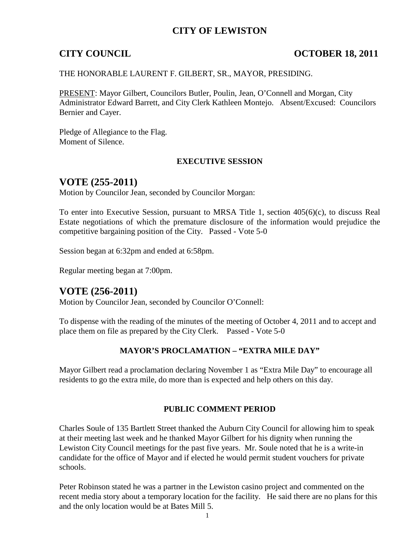## **CITY OF LEWISTON**

## **CITY COUNCIL COUNCIL COUNCIL COUNCIL COUNCIL COUNCIL COUNCIL COUNCIL**

#### THE HONORABLE LAURENT F. GILBERT, SR., MAYOR, PRESIDING.

PRESENT: Mayor Gilbert, Councilors Butler, Poulin, Jean, O'Connell and Morgan, City Administrator Edward Barrett, and City Clerk Kathleen Montejo. Absent/Excused: Councilors Bernier and Cayer.

Pledge of Allegiance to the Flag. Moment of Silence.

#### **EXECUTIVE SESSION**

## **VOTE (255-2011)**

Motion by Councilor Jean, seconded by Councilor Morgan:

To enter into Executive Session, pursuant to MRSA Title 1, section 405(6)(c), to discuss Real Estate negotiations of which the premature disclosure of the information would prejudice the competitive bargaining position of the City. Passed - Vote 5-0

Session began at 6:32pm and ended at 6:58pm.

Regular meeting began at 7:00pm.

## **VOTE (256-2011)**

Motion by Councilor Jean, seconded by Councilor O'Connell:

To dispense with the reading of the minutes of the meeting of October 4, 2011 and to accept and place them on file as prepared by the City Clerk. Passed - Vote 5-0

#### **MAYOR'S PROCLAMATION – "EXTRA MILE DAY"**

Mayor Gilbert read a proclamation declaring November 1 as "Extra Mile Day" to encourage all residents to go the extra mile, do more than is expected and help others on this day.

### **PUBLIC COMMENT PERIOD**

Charles Soule of 135 Bartlett Street thanked the Auburn City Council for allowing him to speak at their meeting last week and he thanked Mayor Gilbert for his dignity when running the Lewiston City Council meetings for the past five years. Mr. Soule noted that he is a write-in candidate for the office of Mayor and if elected he would permit student vouchers for private schools.

Peter Robinson stated he was a partner in the Lewiston casino project and commented on the recent media story about a temporary location for the facility. He said there are no plans for this and the only location would be at Bates Mill 5.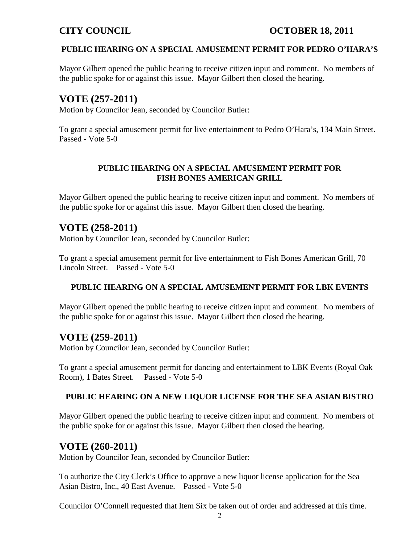## **CITY COUNCIL COUNCIL COUNCIL COUNCIL COUNCIL COUNCIL COUNCIL COUNCIL**

### **PUBLIC HEARING ON A SPECIAL AMUSEMENT PERMIT FOR PEDRO O'HARA'S**

Mayor Gilbert opened the public hearing to receive citizen input and comment. No members of the public spoke for or against this issue. Mayor Gilbert then closed the hearing.

## **VOTE (257-2011)**

Motion by Councilor Jean, seconded by Councilor Butler:

To grant a special amusement permit for live entertainment to Pedro O'Hara's, 134 Main Street. Passed - Vote 5-0

### **PUBLIC HEARING ON A SPECIAL AMUSEMENT PERMIT FOR FISH BONES AMERICAN GRILL**

Mayor Gilbert opened the public hearing to receive citizen input and comment. No members of the public spoke for or against this issue. Mayor Gilbert then closed the hearing.

## **VOTE (258-2011)**

Motion by Councilor Jean, seconded by Councilor Butler:

To grant a special amusement permit for live entertainment to Fish Bones American Grill, 70 Lincoln Street. Passed - Vote 5-0

### **PUBLIC HEARING ON A SPECIAL AMUSEMENT PERMIT FOR LBK EVENTS**

Mayor Gilbert opened the public hearing to receive citizen input and comment. No members of the public spoke for or against this issue. Mayor Gilbert then closed the hearing.

## **VOTE (259-2011)**

Motion by Councilor Jean, seconded by Councilor Butler:

To grant a special amusement permit for dancing and entertainment to LBK Events (Royal Oak Room), 1 Bates Street. Passed - Vote 5-0

#### **PUBLIC HEARING ON A NEW LIQUOR LICENSE FOR THE SEA ASIAN BISTRO**

Mayor Gilbert opened the public hearing to receive citizen input and comment. No members of the public spoke for or against this issue. Mayor Gilbert then closed the hearing.

## **VOTE (260-2011)**

Motion by Councilor Jean, seconded by Councilor Butler:

To authorize the City Clerk's Office to approve a new liquor license application for the Sea Asian Bistro, Inc., 40 East Avenue. Passed - Vote 5-0

Councilor O'Connell requested that Item Six be taken out of order and addressed at this time.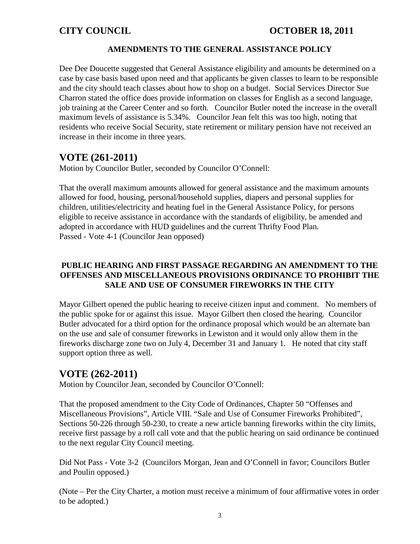## **AMENDMENTS TO THE GENERAL ASSISTANCE POLICY**

Dee Dee Doucette suggested that General Assistance eligibility and amounts be determined on a case by case basis based upon need and that applicants be given classes to learn to be responsible and the city should teach classes about how to shop on a budget. Social Services Director Sue Charron stated the office does provide information on classes for English as a second language, job training at the Career Center and so forth. Councilor Butler noted the increase in the overall maximum levels of assistance is 5.34%. Councilor Jean felt this was too high, noting that residents who receive Social Security, state retirement or military pension have not received an increase in their income in three years.

# **VOTE (261-2011)**

Motion by Councilor Butler, seconded by Councilor O'Connell:

That the overall maximum amounts allowed for general assistance and the maximum amounts allowed for food, housing, personal/household supplies, diapers and personal supplies for children, utilities/electricity and heating fuel in the General Assistance Policy, for persons eligible to receive assistance in accordance with the standards of eligibility, be amended and adopted in accordance with HUD guidelines and the current Thrifty Food Plan. Passed - Vote 4-1 (Councilor Jean opposed)

## **PUBLIC HEARING AND FIRST PASSAGE REGARDING AN AMENDMENT TO THE OFFENSES AND MISCELLANEOUS PROVISIONS ORDINANCE TO PROHIBIT THE SALE AND USE OF CONSUMER FIREWORKS IN THE CITY**

Mayor Gilbert opened the public hearing to receive citizen input and comment. No members of the public spoke for or against this issue. Mayor Gilbert then closed the hearing. Councilor Butler advocated for a third option for the ordinance proposal which would be an alternate ban on the use and sale of consumer fireworks in Lewiston and it would only allow them in the fireworks discharge zone two on July 4, December 31 and January 1. He noted that city staff support option three as well.

# **VOTE (262-2011)**

Motion by Councilor Jean, seconded by Councilor O'Connell:

That the proposed amendment to the City Code of Ordinances, Chapter 50 "Offenses and Miscellaneous Provisions", Article VIII. "Sale and Use of Consumer Fireworks Prohibited", Sections 50-226 through 50-230, to create a new article banning fireworks within the city limits, receive first passage by a roll call vote and that the public hearing on said ordinance be continued to the next regular City Council meeting.

Did Not Pass - Vote 3-2 (Councilors Morgan, Jean and O'Connell in favor; Councilors Butler and Poulin opposed.)

(Note – Per the City Charter, a motion must receive a minimum of four affirmative votes in order to be adopted.)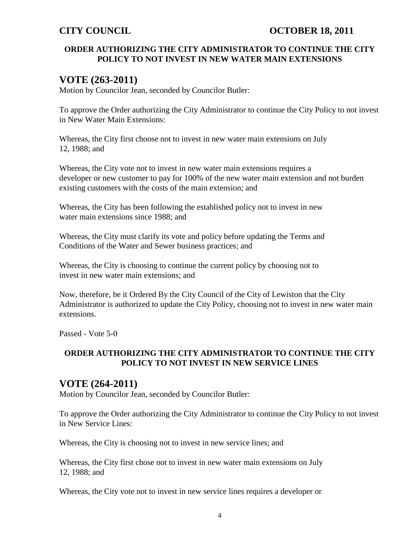### **ORDER AUTHORIZING THE CITY ADMINISTRATOR TO CONTINUE THE CITY POLICY TO NOT INVEST IN NEW WATER MAIN EXTENSIONS**

## **VOTE (263-2011)**

Motion by Councilor Jean, seconded by Councilor Butler:

To approve the Order authorizing the City Administrator to continue the City Policy to not invest in New Water Main Extensions:

Whereas, the City first choose not to invest in new water main extensions on July 12, 1988; and

Whereas, the City vote not to invest in new water main extensions requires a developer or new customer to pay for 100% of the new water main extension and not burden existing customers with the costs of the main extension; and

Whereas, the City has been following the established policy not to invest in new water main extensions since 1988; and

Whereas, the City must clarify its vote and policy before updating the Terms and Conditions of the Water and Sewer business practices; and

Whereas, the City is choosing to continue the current policy by choosing not to invest in new water main extensions; and

Now, therefore, be it Ordered By the City Council of the City of Lewiston that the City Administrator is authorized to update the City Policy, choosing not to invest in new water main extensions.

Passed - Vote 5-0

## **ORDER AUTHORIZING THE CITY ADMINISTRATOR TO CONTINUE THE CITY POLICY TO NOT INVEST IN NEW SERVICE LINES**

## **VOTE (264-2011)**

Motion by Councilor Jean, seconded by Councilor Butler:

To approve the Order authorizing the City Administrator to continue the City Policy to not invest in New Service Lines:

Whereas, the City is choosing not to invest in new service lines; and

Whereas, the City first chose not to invest in new water main extensions on July 12, 1988; and

Whereas, the City vote not to invest in new service lines requires a developer or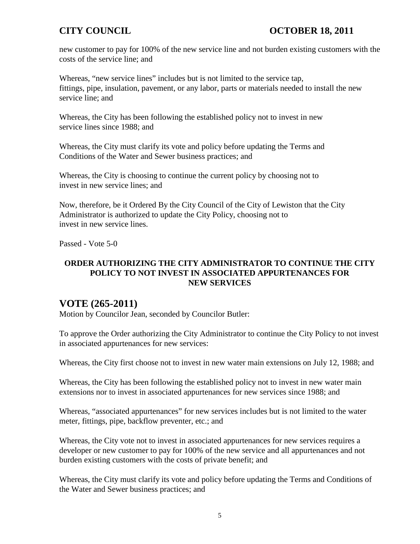new customer to pay for 100% of the new service line and not burden existing customers with the costs of the service line; and

Whereas, "new service lines" includes but is not limited to the service tap, fittings, pipe, insulation, pavement, or any labor, parts or materials needed to install the new service line; and

Whereas, the City has been following the established policy not to invest in new service lines since 1988; and

Whereas, the City must clarify its vote and policy before updating the Terms and Conditions of the Water and Sewer business practices; and

Whereas, the City is choosing to continue the current policy by choosing not to invest in new service lines; and

Now, therefore, be it Ordered By the City Council of the City of Lewiston that the City Administrator is authorized to update the City Policy, choosing not to invest in new service lines.

Passed - Vote 5-0

## **ORDER AUTHORIZING THE CITY ADMINISTRATOR TO CONTINUE THE CITY POLICY TO NOT INVEST IN ASSOCIATED APPURTENANCES FOR NEW SERVICES**

# **VOTE (265-2011)**

Motion by Councilor Jean, seconded by Councilor Butler:

To approve the Order authorizing the City Administrator to continue the City Policy to not invest in associated appurtenances for new services:

Whereas, the City first choose not to invest in new water main extensions on July 12, 1988; and

Whereas, the City has been following the established policy not to invest in new water main extensions nor to invest in associated appurtenances for new services since 1988; and

Whereas, "associated appurtenances" for new services includes but is not limited to the water meter, fittings, pipe, backflow preventer, etc.; and

Whereas, the City vote not to invest in associated appurtenances for new services requires a developer or new customer to pay for 100% of the new service and all appurtenances and not burden existing customers with the costs of private benefit; and

Whereas, the City must clarify its vote and policy before updating the Terms and Conditions of the Water and Sewer business practices; and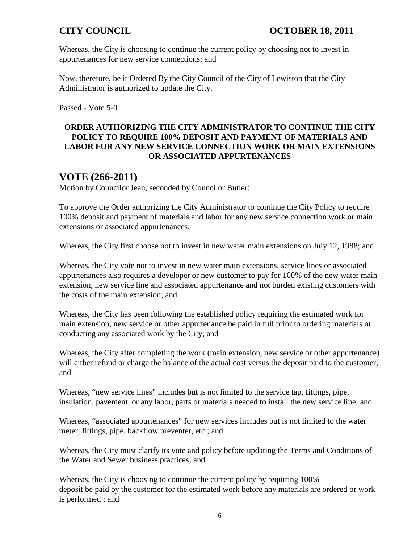Whereas, the City is choosing to continue the current policy by choosing not to invest in appurtenances for new service connections; and

Now, therefore, be it Ordered By the City Council of the City of Lewiston that the City Administrator is authorized to update the City.

Passed - Vote 5-0

## **ORDER AUTHORIZING THE CITY ADMINISTRATOR TO CONTINUE THE CITY POLICY TO REQUIRE 100% DEPOSIT AND PAYMENT OF MATERIALS AND LABOR FOR ANY NEW SERVICE CONNECTION WORK OR MAIN EXTENSIONS OR ASSOCIATED APPURTENANCES**

# **VOTE (266-2011)**

Motion by Councilor Jean, seconded by Councilor Butler:

To approve the Order authorizing the City Administrator to continue the City Policy to require 100% deposit and payment of materials and labor for any new service connection work or main extensions or associated appurtenances:

Whereas, the City first choose not to invest in new water main extensions on July 12, 1988; and

Whereas, the City vote not to invest in new water main extensions, service lines or associated appurtenances also requires a developer or new customer to pay for 100% of the new water main extension, new service line and associated appurtenance and not burden existing customers with the costs of the main extension; and

Whereas, the City has been following the established policy requiring the estimated work for main extension, new service or other appurtenance be paid in full prior to ordering materials or conducting any associated work by the City; and

Whereas, the City after completing the work (main extension, new service or other appurtenance) will either refund or charge the balance of the actual cost versus the deposit paid to the customer; and

Whereas, "new service lines" includes but is not limited to the service tap, fittings, pipe, insulation, pavement, or any labor, parts or materials needed to install the new service line; and

Whereas, "associated appurtenances" for new services includes but is not limited to the water meter, fittings, pipe, backflow preventer, etc.; and

Whereas, the City must clarify its vote and policy before updating the Terms and Conditions of the Water and Sewer business practices; and

Whereas, the City is choosing to continue the current policy by requiring 100% deposit be paid by the customer for the estimated work before any materials are ordered or work is performed ; and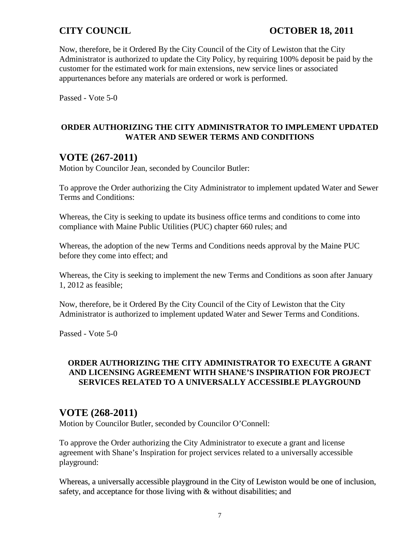## **CITY COUNCIL COUNCIL COUNCIL COUNCIL COUNCIL COUNCIL COUNCIL**

Now, therefore, be it Ordered By the City Council of the City of Lewiston that the City Administrator is authorized to update the City Policy, by requiring 100% deposit be paid by the customer for the estimated work for main extensions, new service lines or associated appurtenances before any materials are ordered or work is performed.

Passed - Vote 5-0

## **ORDER AUTHORIZING THE CITY ADMINISTRATOR TO IMPLEMENT UPDATED WATER AND SEWER TERMS AND CONDITIONS**

# **VOTE (267-2011)**

Motion by Councilor Jean, seconded by Councilor Butler:

To approve the Order authorizing the City Administrator to implement updated Water and Sewer Terms and Conditions:

Whereas, the City is seeking to update its business office terms and conditions to come into compliance with Maine Public Utilities (PUC) chapter 660 rules; and

Whereas, the adoption of the new Terms and Conditions needs approval by the Maine PUC before they come into effect; and

Whereas, the City is seeking to implement the new Terms and Conditions as soon after January 1, 2012 as feasible;

Now, therefore, be it Ordered By the City Council of the City of Lewiston that the City Administrator is authorized to implement updated Water and Sewer Terms and Conditions.

Passed - Vote 5-0

### **ORDER AUTHORIZING THE CITY ADMINISTRATOR TO EXECUTE A GRANT AND LICENSING AGREEMENT WITH SHANE'S INSPIRATION FOR PROJECT SERVICES RELATED TO A UNIVERSALLY ACCESSIBLE PLAYGROUND**

## **VOTE (268-2011)**

Motion by Councilor Butler, seconded by Councilor O'Connell:

To approve the Order authorizing the City Administrator to execute a grant and license agreement with Shane's Inspiration for project services related to a universally accessible playground:

Whereas, a universally accessible playground in the City of Lewiston would be one of inclusion, safety, and acceptance for those living with & without disabilities; and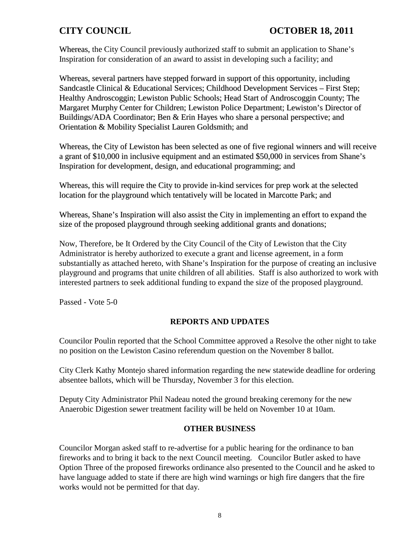Whereas, the City Council previously authorized staff to submit an application to Shane's Inspiration for consideration of an award to assist in developing such a facility; and

Whereas, several partners have stepped forward in support of this opportunity, including Sandcastle Clinical & Educational Services; Childhood Development Services – First Step; Healthy Androscoggin; Lewiston Public Schools; Head Start of Androscoggin County; The Margaret Murphy Center for Children; Lewiston Police Department; Lewiston's Director of Buildings/ADA Coordinator; Ben & Erin Hayes who share a personal perspective; and Orientation & Mobility Specialist Lauren Goldsmith; and

Whereas, the City of Lewiston has been selected as one of five regional winners and will receive a grant of \$10,000 in inclusive equipment and an estimated \$50,000 in services from Shane's Inspiration for development, design, and educational programming; and

Whereas, this will require the City to provide in-kind services for prep work at the selected location for the playground which tentatively will be located in Marcotte Park; and

Whereas, Shane's Inspiration will also assist the City in implementing an effort to expand the size of the proposed playground through seeking additional grants and donations;

Now, Therefore, be It Ordered by the City Council of the City of Lewiston that the City Administrator is hereby authorized to execute a grant and license agreement, in a form substantially as attached hereto, with Shane's Inspiration for the purpose of creating an inclusive playground and programs that unite children of all abilities. Staff is also authorized to work with interested partners to seek additional funding to expand the size of the proposed playground.

Passed - Vote 5-0

### **REPORTS AND UPDATES**

Councilor Poulin reported that the School Committee approved a Resolve the other night to take no position on the Lewiston Casino referendum question on the November 8 ballot.

City Clerk Kathy Montejo shared information regarding the new statewide deadline for ordering absentee ballots, which will be Thursday, November 3 for this election.

Deputy City Administrator Phil Nadeau noted the ground breaking ceremony for the new Anaerobic Digestion sewer treatment facility will be held on November 10 at 10am.

### **OTHER BUSINESS**

Councilor Morgan asked staff to re-advertise for a public hearing for the ordinance to ban fireworks and to bring it back to the next Council meeting. Councilor Butler asked to have Option Three of the proposed fireworks ordinance also presented to the Council and he asked to have language added to state if there are high wind warnings or high fire dangers that the fire works would not be permitted for that day.